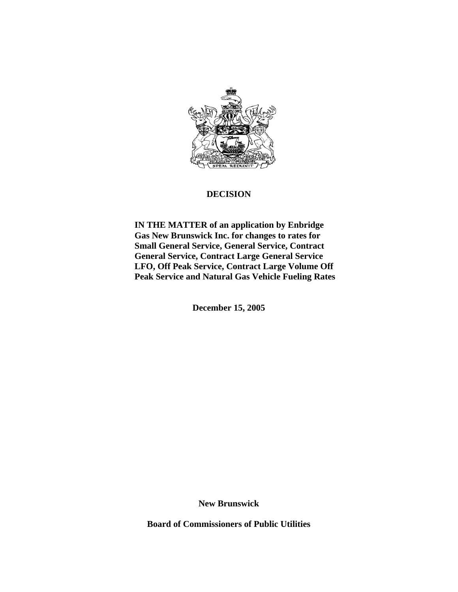

## **DECISION**

 **IN THE MATTER of an application by Enbridge Gas New Brunswick Inc. for changes to rates for Small General Service, General Service, Contract General Service, Contract Large General Service LFO, Off Peak Service, Contract Large Volume Off Peak Service and Natural Gas Vehicle Fueling Rates** 

**December 15, 2005** 

**New Brunswick**

**Board of Commissioners of Public Utilities**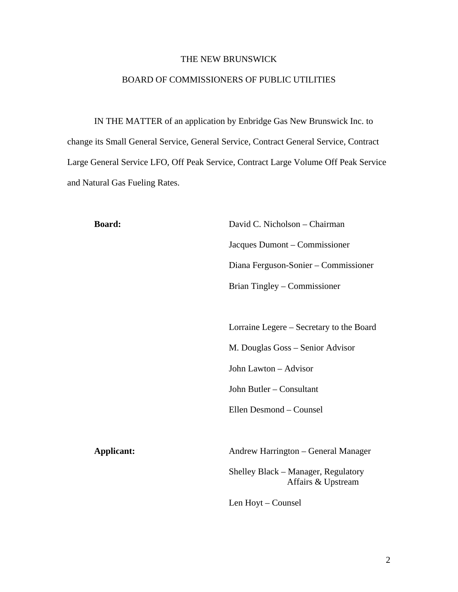### THE NEW BRUNSWICK

### BOARD OF COMMISSIONERS OF PUBLIC UTILITIES

IN THE MATTER of an application by Enbridge Gas New Brunswick Inc. to change its Small General Service, General Service, Contract General Service, Contract Large General Service LFO, Off Peak Service, Contract Large Volume Off Peak Service and Natural Gas Fueling Rates.

**Board:** David C. Nicholson – Chairman Jacques Dumont – Commissioner Diana Ferguson-Sonier – Commissioner Brian Tingley – Commissioner

> Lorraine Legere – Secretary to the Board M. Douglas Goss – Senior Advisor John Lawton – Advisor

John Butler – Consultant

Ellen Desmond – Counsel

Applicant: Andrew Harrington – General Manager

Shelley Black – Manager, Regulatory Affairs & Upstream

Len Hoyt – Counsel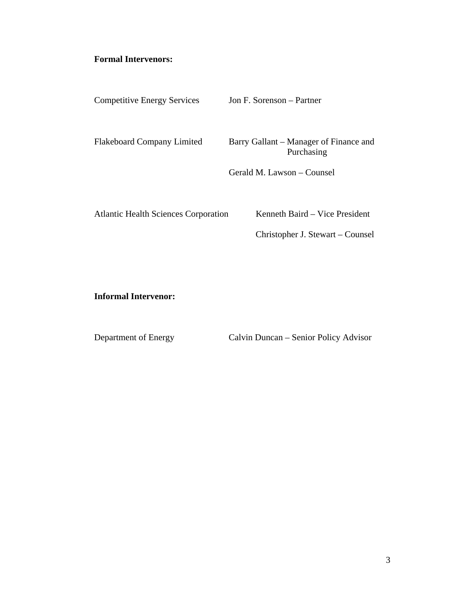# **Formal Intervenors:**

| <b>Competitive Energy Services</b>          | Jon F. Sorenson – Partner                            |
|---------------------------------------------|------------------------------------------------------|
| <b>Flakeboard Company Limited</b>           | Barry Gallant – Manager of Finance and<br>Purchasing |
|                                             | Gerald M. Lawson – Counsel                           |
| <b>Atlantic Health Sciences Corporation</b> | Kenneth Baird – Vice President                       |

Christopher J. Stewart – Counsel

**Informal Intervenor:** 

Department of Energy Calvin Duncan – Senior Policy Advisor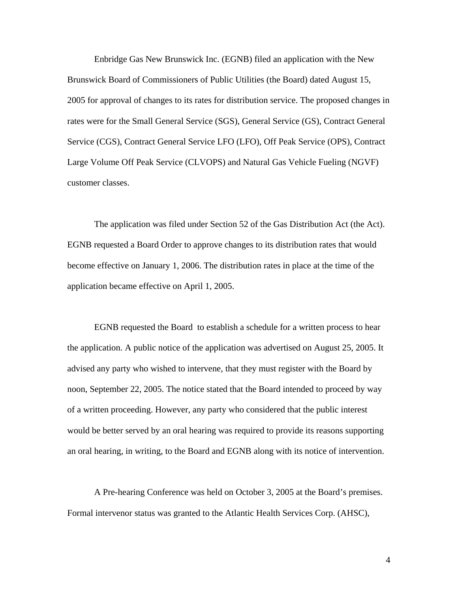Enbridge Gas New Brunswick Inc. (EGNB) filed an application with the New Brunswick Board of Commissioners of Public Utilities (the Board) dated August 15, 2005 for approval of changes to its rates for distribution service. The proposed changes in rates were for the Small General Service (SGS), General Service (GS), Contract General Service (CGS), Contract General Service LFO (LFO), Off Peak Service (OPS), Contract Large Volume Off Peak Service (CLVOPS) and Natural Gas Vehicle Fueling (NGVF) customer classes.

The application was filed under Section 52 of the Gas Distribution Act (the Act). EGNB requested a Board Order to approve changes to its distribution rates that would become effective on January 1, 2006. The distribution rates in place at the time of the application became effective on April 1, 2005.

EGNB requested the Board to establish a schedule for a written process to hear the application. A public notice of the application was advertised on August 25, 2005. It advised any party who wished to intervene, that they must register with the Board by noon, September 22, 2005. The notice stated that the Board intended to proceed by way of a written proceeding. However, any party who considered that the public interest would be better served by an oral hearing was required to provide its reasons supporting an oral hearing, in writing, to the Board and EGNB along with its notice of intervention.

A Pre-hearing Conference was held on October 3, 2005 at the Board's premises. Formal intervenor status was granted to the Atlantic Health Services Corp. (AHSC),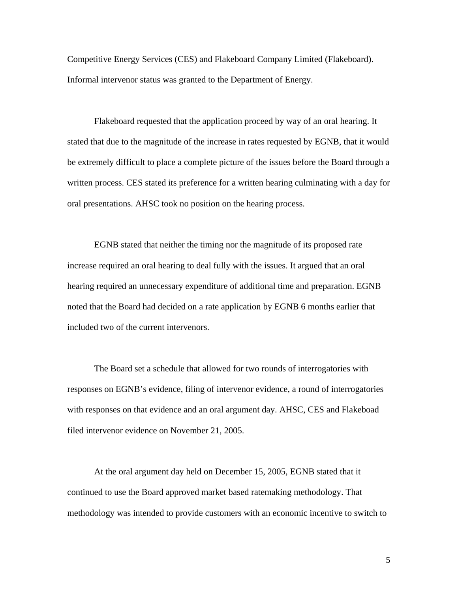Competitive Energy Services (CES) and Flakeboard Company Limited (Flakeboard). Informal intervenor status was granted to the Department of Energy.

Flakeboard requested that the application proceed by way of an oral hearing. It stated that due to the magnitude of the increase in rates requested by EGNB, that it would be extremely difficult to place a complete picture of the issues before the Board through a written process. CES stated its preference for a written hearing culminating with a day for oral presentations. AHSC took no position on the hearing process.

EGNB stated that neither the timing nor the magnitude of its proposed rate increase required an oral hearing to deal fully with the issues. It argued that an oral hearing required an unnecessary expenditure of additional time and preparation. EGNB noted that the Board had decided on a rate application by EGNB 6 months earlier that included two of the current intervenors.

The Board set a schedule that allowed for two rounds of interrogatories with responses on EGNB's evidence, filing of intervenor evidence, a round of interrogatories with responses on that evidence and an oral argument day. AHSC, CES and Flakeboad filed intervenor evidence on November 21, 2005.

At the oral argument day held on December 15, 2005, EGNB stated that it continued to use the Board approved market based ratemaking methodology. That methodology was intended to provide customers with an economic incentive to switch to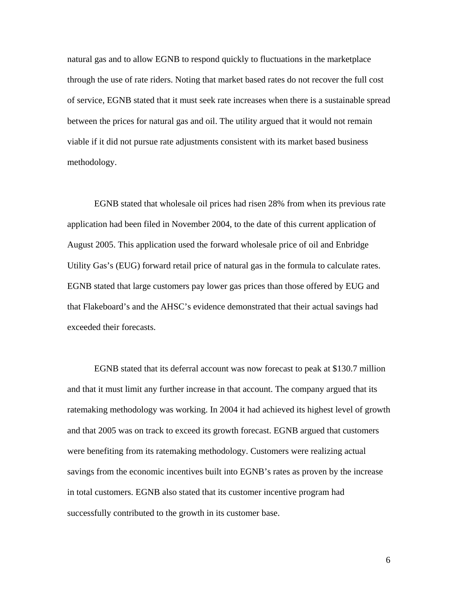natural gas and to allow EGNB to respond quickly to fluctuations in the marketplace through the use of rate riders. Noting that market based rates do not recover the full cost of service, EGNB stated that it must seek rate increases when there is a sustainable spread between the prices for natural gas and oil. The utility argued that it would not remain viable if it did not pursue rate adjustments consistent with its market based business methodology.

EGNB stated that wholesale oil prices had risen 28% from when its previous rate application had been filed in November 2004, to the date of this current application of August 2005. This application used the forward wholesale price of oil and Enbridge Utility Gas's (EUG) forward retail price of natural gas in the formula to calculate rates. EGNB stated that large customers pay lower gas prices than those offered by EUG and that Flakeboard's and the AHSC's evidence demonstrated that their actual savings had exceeded their forecasts.

EGNB stated that its deferral account was now forecast to peak at \$130.7 million and that it must limit any further increase in that account. The company argued that its ratemaking methodology was working. In 2004 it had achieved its highest level of growth and that 2005 was on track to exceed its growth forecast. EGNB argued that customers were benefiting from its ratemaking methodology. Customers were realizing actual savings from the economic incentives built into EGNB's rates as proven by the increase in total customers. EGNB also stated that its customer incentive program had successfully contributed to the growth in its customer base.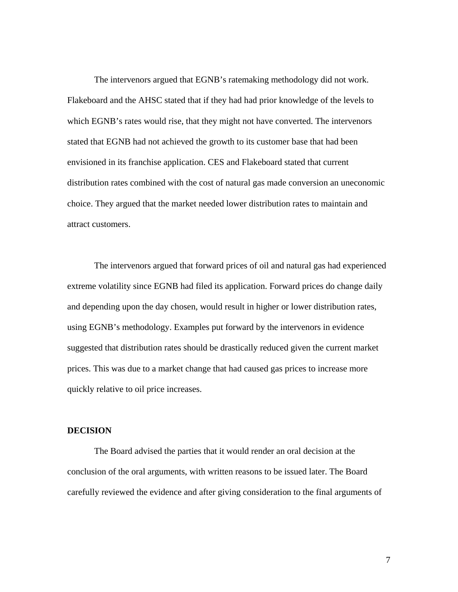The intervenors argued that EGNB's ratemaking methodology did not work. Flakeboard and the AHSC stated that if they had had prior knowledge of the levels to which EGNB's rates would rise, that they might not have converted. The intervenors stated that EGNB had not achieved the growth to its customer base that had been envisioned in its franchise application. CES and Flakeboard stated that current distribution rates combined with the cost of natural gas made conversion an uneconomic choice. They argued that the market needed lower distribution rates to maintain and attract customers.

The intervenors argued that forward prices of oil and natural gas had experienced extreme volatility since EGNB had filed its application. Forward prices do change daily and depending upon the day chosen, would result in higher or lower distribution rates, using EGNB's methodology. Examples put forward by the intervenors in evidence suggested that distribution rates should be drastically reduced given the current market prices. This was due to a market change that had caused gas prices to increase more quickly relative to oil price increases.

### **DECISION**

The Board advised the parties that it would render an oral decision at the conclusion of the oral arguments, with written reasons to be issued later. The Board carefully reviewed the evidence and after giving consideration to the final arguments of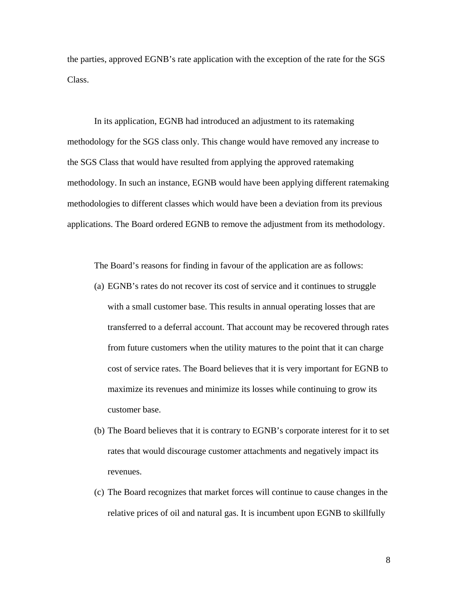the parties, approved EGNB's rate application with the exception of the rate for the SGS Class.

In its application, EGNB had introduced an adjustment to its ratemaking methodology for the SGS class only. This change would have removed any increase to the SGS Class that would have resulted from applying the approved ratemaking methodology. In such an instance, EGNB would have been applying different ratemaking methodologies to different classes which would have been a deviation from its previous applications. The Board ordered EGNB to remove the adjustment from its methodology.

The Board's reasons for finding in favour of the application are as follows:

- (a) EGNB's rates do not recover its cost of service and it continues to struggle with a small customer base. This results in annual operating losses that are transferred to a deferral account. That account may be recovered through rates from future customers when the utility matures to the point that it can charge cost of service rates. The Board believes that it is very important for EGNB to maximize its revenues and minimize its losses while continuing to grow its customer base.
- (b) The Board believes that it is contrary to EGNB's corporate interest for it to set rates that would discourage customer attachments and negatively impact its revenues.
- (c) The Board recognizes that market forces will continue to cause changes in the relative prices of oil and natural gas. It is incumbent upon EGNB to skillfully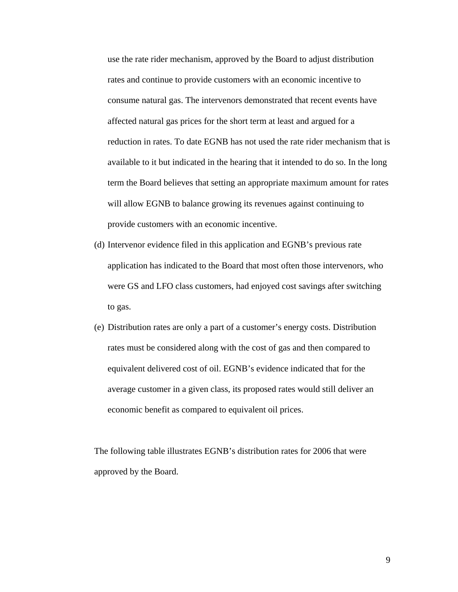use the rate rider mechanism, approved by the Board to adjust distribution rates and continue to provide customers with an economic incentive to consume natural gas. The intervenors demonstrated that recent events have affected natural gas prices for the short term at least and argued for a reduction in rates. To date EGNB has not used the rate rider mechanism that is available to it but indicated in the hearing that it intended to do so. In the long term the Board believes that setting an appropriate maximum amount for rates will allow EGNB to balance growing its revenues against continuing to provide customers with an economic incentive.

- (d) Intervenor evidence filed in this application and EGNB's previous rate application has indicated to the Board that most often those intervenors, who were GS and LFO class customers, had enjoyed cost savings after switching to gas.
- (e) Distribution rates are only a part of a customer's energy costs. Distribution rates must be considered along with the cost of gas and then compared to equivalent delivered cost of oil. EGNB's evidence indicated that for the average customer in a given class, its proposed rates would still deliver an economic benefit as compared to equivalent oil prices.

The following table illustrates EGNB's distribution rates for 2006 that were approved by the Board.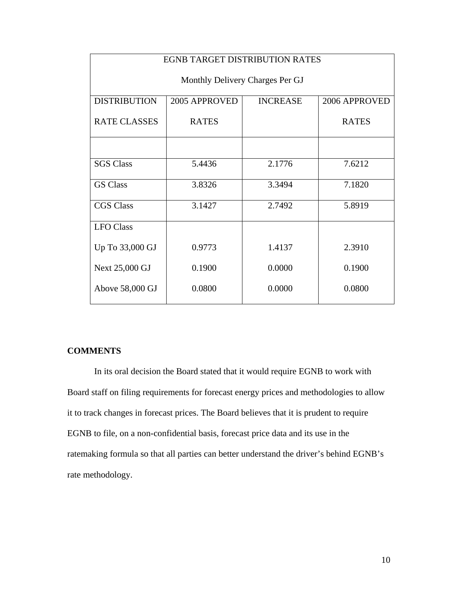| <b>EGNB TARGET DISTRIBUTION RATES</b> |               |                 |               |  |
|---------------------------------------|---------------|-----------------|---------------|--|
| Monthly Delivery Charges Per GJ       |               |                 |               |  |
| <b>DISTRIBUTION</b>                   | 2005 APPROVED | <b>INCREASE</b> | 2006 APPROVED |  |
| <b>RATE CLASSES</b>                   | <b>RATES</b>  |                 | <b>RATES</b>  |  |
|                                       |               |                 |               |  |
| <b>SGS Class</b>                      | 5.4436        | 2.1776          | 7.6212        |  |
| <b>GS Class</b>                       | 3.8326        | 3.3494          | 7.1820        |  |
| <b>CGS Class</b>                      | 3.1427        | 2.7492          | 5.8919        |  |
| <b>LFO</b> Class                      |               |                 |               |  |
| Up To 33,000 GJ                       | 0.9773        | 1.4137          | 2.3910        |  |
| Next 25,000 GJ                        | 0.1900        | 0.0000          | 0.1900        |  |
| Above 58,000 GJ                       | 0.0800        | 0.0000          | 0.0800        |  |

## **COMMENTS**

In its oral decision the Board stated that it would require EGNB to work with Board staff on filing requirements for forecast energy prices and methodologies to allow it to track changes in forecast prices. The Board believes that it is prudent to require EGNB to file, on a non-confidential basis, forecast price data and its use in the ratemaking formula so that all parties can better understand the driver's behind EGNB's rate methodology.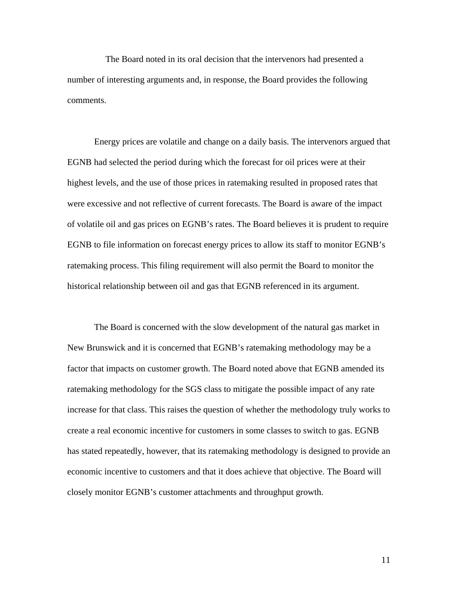The Board noted in its oral decision that the intervenors had presented a number of interesting arguments and, in response, the Board provides the following comments.

Energy prices are volatile and change on a daily basis. The intervenors argued that EGNB had selected the period during which the forecast for oil prices were at their highest levels, and the use of those prices in ratemaking resulted in proposed rates that were excessive and not reflective of current forecasts. The Board is aware of the impact of volatile oil and gas prices on EGNB's rates. The Board believes it is prudent to require EGNB to file information on forecast energy prices to allow its staff to monitor EGNB's ratemaking process. This filing requirement will also permit the Board to monitor the historical relationship between oil and gas that EGNB referenced in its argument.

The Board is concerned with the slow development of the natural gas market in New Brunswick and it is concerned that EGNB's ratemaking methodology may be a factor that impacts on customer growth. The Board noted above that EGNB amended its ratemaking methodology for the SGS class to mitigate the possible impact of any rate increase for that class. This raises the question of whether the methodology truly works to create a real economic incentive for customers in some classes to switch to gas. EGNB has stated repeatedly, however, that its ratemaking methodology is designed to provide an economic incentive to customers and that it does achieve that objective. The Board will closely monitor EGNB's customer attachments and throughput growth.